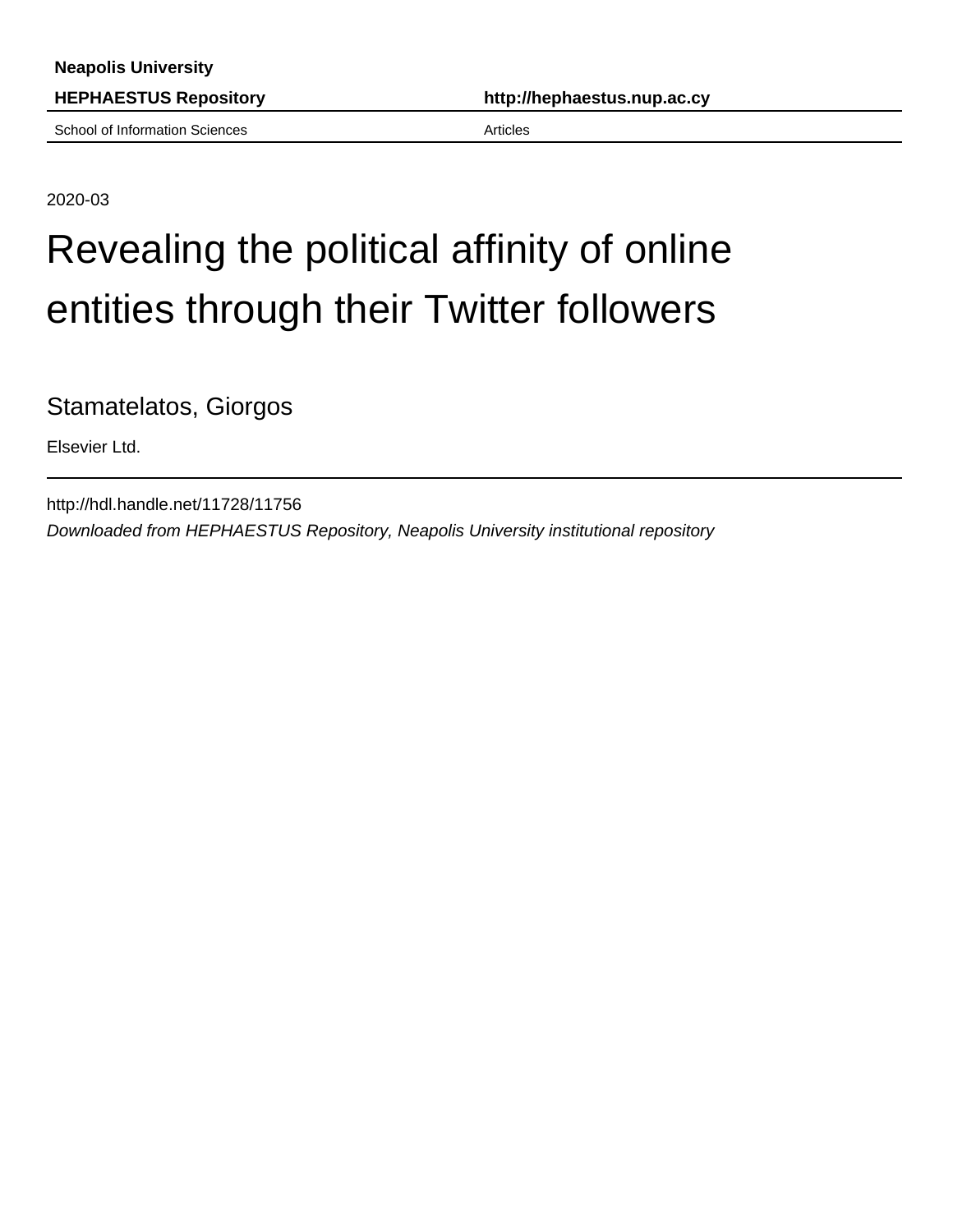School of Information Sciences Articles

**HEPHAESTUS Repository http://hephaestus.nup.ac.cy**

2020-03

## Revealing the political affinity of online entities through their Twitter followers

Stamatelatos, Giorgos

Elsevier Ltd.

http://hdl.handle.net/11728/11756 Downloaded from HEPHAESTUS Repository, Neapolis University institutional repository